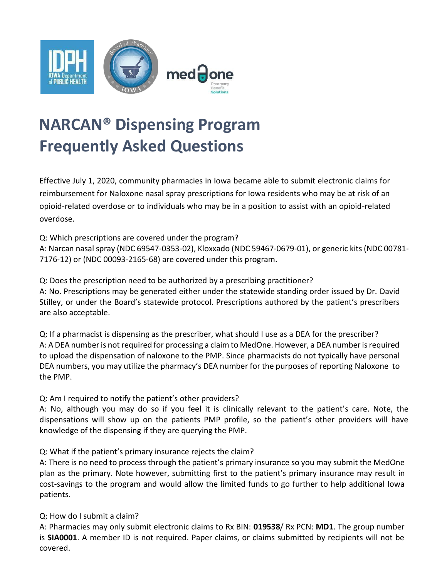

## **NARCAN® Dispensing Program Frequently Asked Questions**

Effective July 1, 2020, community pharmacies in Iowa became able to submit electronic claims for reimbursement for Naloxone nasal spray prescriptions for Iowa residents who may be at risk of an opioid-related overdose or to individuals who may be in a position to assist with an opioid-related overdose.

Q: Which prescriptions are covered under the program?

A: Narcan nasal spray (NDC 69547-0353-02), Kloxxado (NDC 59467-0679-01), or generic kits (NDC 00781- 7176-12) or (NDC 00093-2165-68) are covered under this program.

Q: Does the prescription need to be authorized by a prescribing practitioner?

A: No. Prescriptions may be generated either under the statewide standing order issued by Dr. David Stilley, or under the Board's statewide protocol. Prescriptions authored by the patient's prescribers are also acceptable.

Q: If a pharmacist is dispensing as the prescriber, what should I use as a DEA for the prescriber? A: A DEA number is not required for processing a claim to MedOne. However, a DEA number is required to upload the dispensation of naloxone to the PMP. Since pharmacists do not typically have personal DEA numbers, you may utilize the pharmacy's DEA number for the purposes of reporting Naloxone to the PMP.

Q: Am I required to notify the patient's other providers?

A: No, although you may do so if you feel it is clinically relevant to the patient's care. Note, the dispensations will show up on the patients PMP profile, so the patient's other providers will have knowledge of the dispensing if they are querying the PMP.

Q: What if the patient's primary insurance rejects the claim?

A: There is no need to process through the patient's primary insurance so you may submit the MedOne plan as the primary. Note however, submitting first to the patient's primary insurance may result in cost-savings to the program and would allow the limited funds to go further to help additional Iowa patients.

Q: How do I submit a claim?

A: Pharmacies may only submit electronic claims to Rx BIN: **019538**/ Rx PCN: **MD1**. The group number is **SIA0001**. A member ID is not required. Paper claims, or claims submitted by recipients will not be covered.